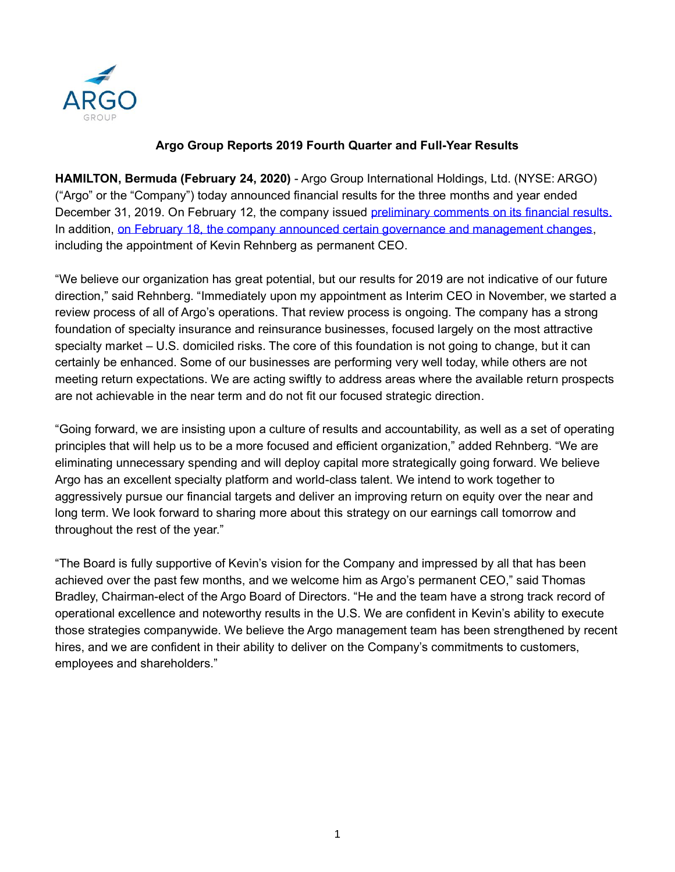

# **Argo Group Reports 2019 Fourth Quarter and Full-Year Results**

**HAMILTON, Bermuda (February 24, 2020)** - Argo Group International Holdings, Ltd. (NYSE: ARGO) ("Argo" or the "Company") today announced financial results for the three months and year ended December 31, 2019. On February 12, the company issued [preliminary comments](https://www.argolimited.com/news-release/argo-group-comments-on-results-for-fourth-quarter-2019-schedules-earnings-release-and-conference-call/) on its financial results. In addition, on February 18, [the company announced certain governance and management changes,](https://www.argolimited.com/news-release/thomas-a-bradley-to-serve-as-argo-group-chairman-kevin-j-rehnberg-named-ceo-and-board-nominee/) including the appointment of Kevin Rehnberg as permanent CEO.

"We believe our organization has great potential, but our results for 2019 are not indicative of our future direction," said Rehnberg. "Immediately upon my appointment as Interim CEO in November, we started a review process of all of Argo's operations. That review process is ongoing. The company has a strong foundation of specialty insurance and reinsurance businesses, focused largely on the most attractive specialty market – U.S. domiciled risks. The core of this foundation is not going to change, but it can certainly be enhanced. Some of our businesses are performing very well today, while others are not meeting return expectations. We are acting swiftly to address areas where the available return prospects are not achievable in the near term and do not fit our focused strategic direction.

"Going forward, we are insisting upon a culture of results and accountability, as well as a set of operating principles that will help us to be a more focused and efficient organization," added Rehnberg. "We are eliminating unnecessary spending and will deploy capital more strategically going forward. We believe Argo has an excellent specialty platform and world-class talent. We intend to work together to aggressively pursue our financial targets and deliver an improving return on equity over the near and long term. We look forward to sharing more about this strategy on our earnings call tomorrow and throughout the rest of the year."

"The Board is fully supportive of Kevin's vision for the Company and impressed by all that has been achieved over the past few months, and we welcome him as Argo's permanent CEO," said Thomas Bradley, Chairman-elect of the Argo Board of Directors. "He and the team have a strong track record of operational excellence and noteworthy results in the U.S. We are confident in Kevin's ability to execute those strategies companywide. We believe the Argo management team has been strengthened by recent hires, and we are confident in their ability to deliver on the Company's commitments to customers, employees and shareholders."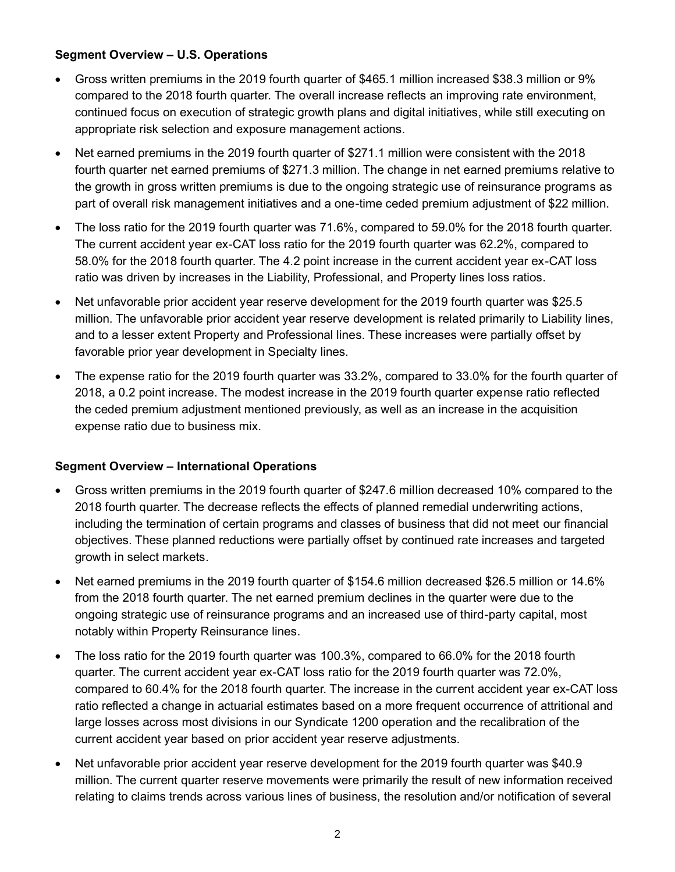# **Segment Overview – U.S. Operations**

- Gross written premiums in the 2019 fourth quarter of \$465.1 million increased \$38.3 million or 9% compared to the 2018 fourth quarter. The overall increase reflects an improving rate environment, continued focus on execution of strategic growth plans and digital initiatives, while still executing on appropriate risk selection and exposure management actions.
- Net earned premiums in the 2019 fourth quarter of \$271.1 million were consistent with the 2018 fourth quarter net earned premiums of \$271.3 million. The change in net earned premiums relative to the growth in gross written premiums is due to the ongoing strategic use of reinsurance programs as part of overall risk management initiatives and a one-time ceded premium adjustment of \$22 million.
- The loss ratio for the 2019 fourth quarter was 71.6%, compared to 59.0% for the 2018 fourth quarter. The current accident year ex-CAT loss ratio for the 2019 fourth quarter was 62.2%, compared to 58.0% for the 2018 fourth quarter. The 4.2 point increase in the current accident year ex-CAT loss ratio was driven by increases in the Liability, Professional, and Property lines loss ratios.
- Net unfavorable prior accident year reserve development for the 2019 fourth quarter was \$25.5 million. The unfavorable prior accident year reserve development is related primarily to Liability lines, and to a lesser extent Property and Professional lines. These increases were partially offset by favorable prior year development in Specialty lines.
- The expense ratio for the 2019 fourth quarter was 33.2%, compared to 33.0% for the fourth quarter of 2018, a 0.2 point increase. The modest increase in the 2019 fourth quarter expense ratio reflected the ceded premium adjustment mentioned previously, as well as an increase in the acquisition expense ratio due to business mix.

# **Segment Overview – International Operations**

- Gross written premiums in the 2019 fourth quarter of \$247.6 million decreased 10% compared to the 2018 fourth quarter. The decrease reflects the effects of planned remedial underwriting actions, including the termination of certain programs and classes of business that did not meet our financial objectives. These planned reductions were partially offset by continued rate increases and targeted growth in select markets.
- Net earned premiums in the 2019 fourth quarter of \$154.6 million decreased \$26.5 million or 14.6% from the 2018 fourth quarter. The net earned premium declines in the quarter were due to the ongoing strategic use of reinsurance programs and an increased use of third-party capital, most notably within Property Reinsurance lines.
- The loss ratio for the 2019 fourth quarter was 100.3%, compared to 66.0% for the 2018 fourth quarter. The current accident year ex-CAT loss ratio for the 2019 fourth quarter was 72.0%, compared to 60.4% for the 2018 fourth quarter. The increase in the current accident year ex-CAT loss ratio reflected a change in actuarial estimates based on a more frequent occurrence of attritional and large losses across most divisions in our Syndicate 1200 operation and the recalibration of the current accident year based on prior accident year reserve adjustments.
- Net unfavorable prior accident year reserve development for the 2019 fourth quarter was \$40.9 million. The current quarter reserve movements were primarily the result of new information received relating to claims trends across various lines of business, the resolution and/or notification of several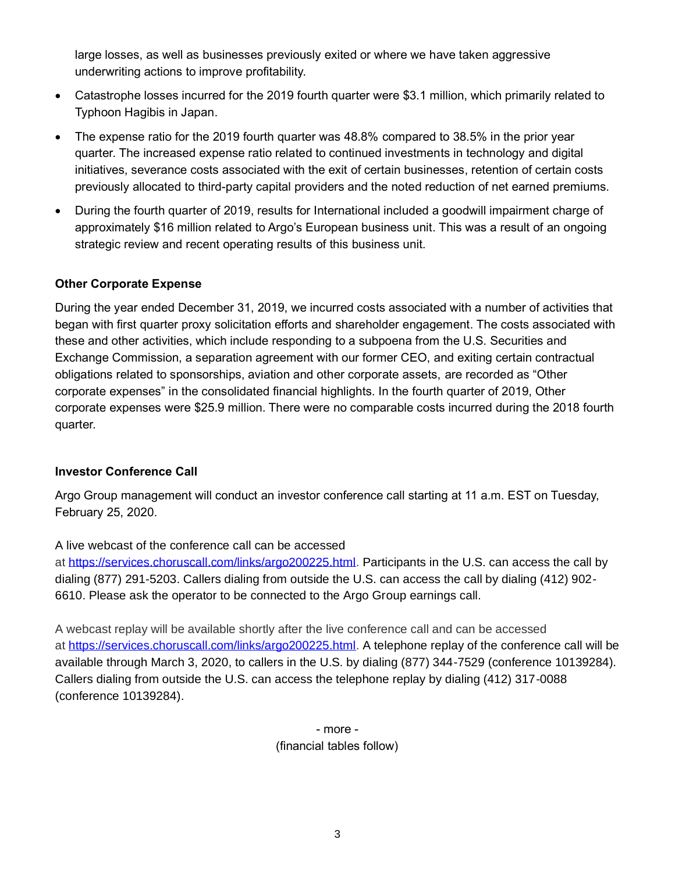large losses, as well as businesses previously exited or where we have taken aggressive underwriting actions to improve profitability.

- Catastrophe losses incurred for the 2019 fourth quarter were \$3.1 million, which primarily related to Typhoon Hagibis in Japan.
- The expense ratio for the 2019 fourth quarter was 48.8% compared to 38.5% in the prior year quarter. The increased expense ratio related to continued investments in technology and digital initiatives, severance costs associated with the exit of certain businesses, retention of certain costs previously allocated to third-party capital providers and the noted reduction of net earned premiums.
- During the fourth quarter of 2019, results for International included a goodwill impairment charge of approximately \$16 million related to Argo's European business unit. This was a result of an ongoing strategic review and recent operating results of this business unit.

# **Other Corporate Expense**

During the year ended December 31, 2019, we incurred costs associated with a number of activities that began with first quarter proxy solicitation efforts and shareholder engagement. The costs associated with these and other activities, which include responding to a subpoena from the U.S. Securities and Exchange Commission, a separation agreement with our former CEO, and exiting certain contractual obligations related to sponsorships, aviation and other corporate assets, are recorded as "Other corporate expenses" in the consolidated financial highlights. In the fourth quarter of 2019, Other corporate expenses were \$25.9 million. There were no comparable costs incurred during the 2018 fourth quarter.

# **Investor Conference Call**

Argo Group management will conduct an investor conference call starting at 11 a.m. EST on Tuesday, February 25, 2020.

A live webcast of the conference call can be accessed at [https://services.choruscall.com/links/argo200225.html.](https://services.choruscall.com/links/argo200225.html) Participants in the U.S. can access the call by dialing (877) 291-5203. Callers dialing from outside the U.S. can access the call by dialing (412) 902- 6610. Please ask the operator to be connected to the Argo Group earnings call.

A webcast replay will be available shortly after the live conference call and can be accessed at [https://services.choruscall.com/links/argo200225.html.](https://services.choruscall.com/links/argo200225.html) A telephone replay of the conference call will be available through March 3, 2020, to callers in the U.S. by dialing (877) 344-7529 (conference 10139284). Callers dialing from outside the U.S. can access the telephone replay by dialing (412) 317-0088 (conference 10139284).

> - more - (financial tables follow)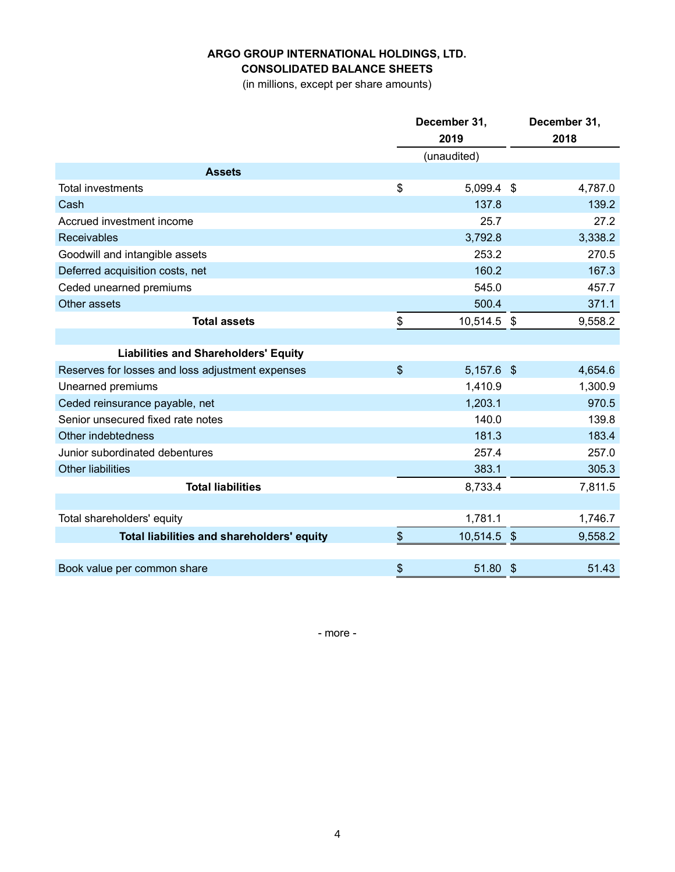# **ARGO GROUP INTERNATIONAL HOLDINGS, LTD. CONSOLIDATED BALANCE SHEETS**

(in millions, except per share amounts)

|                                                  |                           | December 31, | December 31,                        |
|--------------------------------------------------|---------------------------|--------------|-------------------------------------|
|                                                  |                           | 2019         | 2018                                |
|                                                  |                           | (unaudited)  |                                     |
| <b>Assets</b>                                    |                           |              |                                     |
| <b>Total investments</b>                         | \$                        | 5,099.4 \$   | 4,787.0                             |
| Cash                                             |                           | 137.8        | 139.2                               |
| Accrued investment income                        |                           | 25.7         | 27.2                                |
| <b>Receivables</b>                               |                           | 3,792.8      | 3,338.2                             |
| Goodwill and intangible assets                   |                           | 253.2        | 270.5                               |
| Deferred acquisition costs, net                  |                           | 160.2        | 167.3                               |
| Ceded unearned premiums                          |                           | 545.0        | 457.7                               |
| Other assets                                     |                           | 500.4        | 371.1                               |
| <b>Total assets</b>                              | \$                        | 10,514.5 \$  | 9,558.2                             |
|                                                  |                           |              |                                     |
| <b>Liabilities and Shareholders' Equity</b>      |                           |              |                                     |
| Reserves for losses and loss adjustment expenses | $\boldsymbol{\mathsf{S}}$ | $5,157.6$ \$ | 4,654.6                             |
| Unearned premiums                                |                           | 1,410.9      | 1,300.9                             |
| Ceded reinsurance payable, net                   |                           | 1,203.1      | 970.5                               |
| Senior unsecured fixed rate notes                |                           | 140.0        | 139.8                               |
| Other indebtedness                               |                           | 181.3        | 183.4                               |
| Junior subordinated debentures                   |                           | 257.4        | 257.0                               |
| <b>Other liabilities</b>                         |                           | 383.1        | 305.3                               |
| <b>Total liabilities</b>                         |                           | 8,733.4      | 7,811.5                             |
|                                                  |                           |              |                                     |
| Total shareholders' equity                       |                           | 1,781.1      | 1,746.7                             |
| Total liabilities and shareholders' equity       | \$                        | 10,514.5 \$  | 9,558.2                             |
|                                                  |                           |              |                                     |
| Book value per common share                      | \$                        | 51.80        | $\boldsymbol{\mathcal{S}}$<br>51.43 |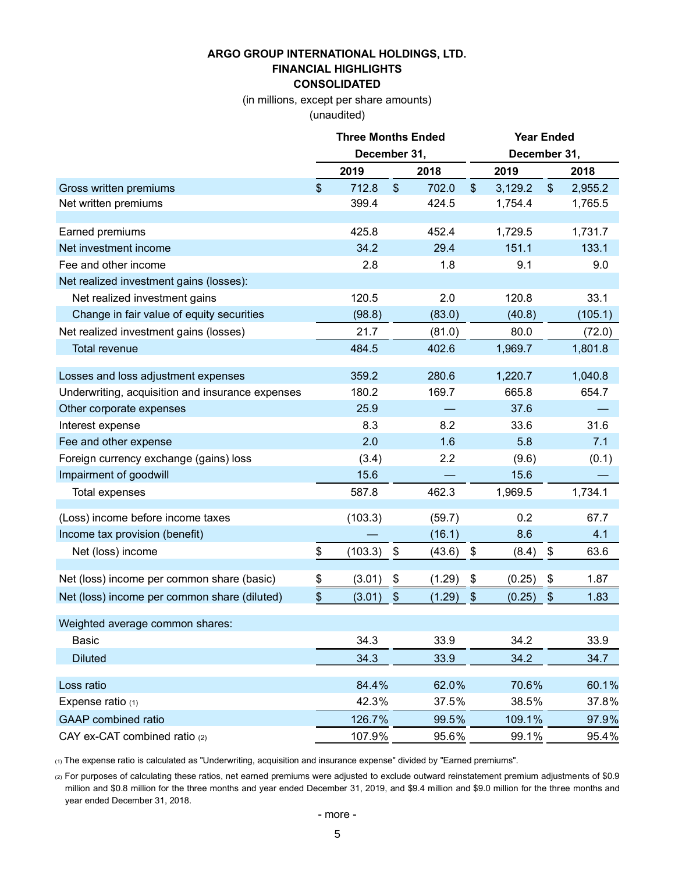# **ARGO GROUP INTERNATIONAL HOLDINGS, LTD. FINANCIAL HIGHLIGHTS**

**CONSOLIDATED**

(in millions, except per share amounts)

(unaudited)

|                                                  |                | <b>Three Months Ended</b> |              |               | <b>Year Ended</b> |               |         |  |  |
|--------------------------------------------------|----------------|---------------------------|--------------|---------------|-------------------|---------------|---------|--|--|
|                                                  |                | December 31,              |              |               | December 31,      |               |         |  |  |
|                                                  |                | 2019                      | 2018         |               | 2019              |               | 2018    |  |  |
| Gross written premiums                           | $\mathfrak{S}$ | 712.8                     | \$<br>702.0  | $\frac{1}{2}$ | 3,129.2           | $\frac{1}{2}$ | 2,955.2 |  |  |
| Net written premiums                             |                | 399.4                     | 424.5        |               | 1,754.4           |               | 1,765.5 |  |  |
|                                                  |                |                           |              |               |                   |               |         |  |  |
| Earned premiums                                  |                | 425.8                     | 452.4        |               | 1,729.5           |               | 1,731.7 |  |  |
| Net investment income                            |                | 34.2                      | 29.4         |               | 151.1             |               | 133.1   |  |  |
| Fee and other income                             |                | 2.8                       | 1.8          |               | 9.1               |               | 9.0     |  |  |
| Net realized investment gains (losses):          |                |                           |              |               |                   |               |         |  |  |
| Net realized investment gains                    |                | 120.5                     | 2.0          |               | 120.8             |               | 33.1    |  |  |
| Change in fair value of equity securities        |                | (98.8)                    | (83.0)       |               | (40.8)            |               | (105.1) |  |  |
| Net realized investment gains (losses)           |                | 21.7                      | (81.0)       |               | 80.0              |               | (72.0)  |  |  |
| <b>Total revenue</b>                             |                | 484.5                     | 402.6        |               | 1,969.7           |               | 1,801.8 |  |  |
| Losses and loss adjustment expenses              |                | 359.2                     | 280.6        |               | 1,220.7           |               | 1,040.8 |  |  |
| Underwriting, acquisition and insurance expenses |                | 180.2                     | 169.7        |               | 665.8             |               | 654.7   |  |  |
| Other corporate expenses                         |                | 25.9                      |              |               | 37.6              |               |         |  |  |
| Interest expense                                 |                | 8.3                       | 8.2          |               | 33.6              |               | 31.6    |  |  |
| Fee and other expense                            |                | 2.0                       | 1.6          |               | 5.8               |               | 7.1     |  |  |
| Foreign currency exchange (gains) loss           |                | (3.4)                     | 2.2          |               | (9.6)             |               | (0.1)   |  |  |
| Impairment of goodwill                           |                | 15.6                      |              |               | 15.6              |               |         |  |  |
| Total expenses                                   |                | 587.8                     | 462.3        |               | 1,969.5           |               | 1,734.1 |  |  |
| (Loss) income before income taxes                |                | (103.3)                   | (59.7)       |               | 0.2               |               | 67.7    |  |  |
| Income tax provision (benefit)                   |                |                           | (16.1)       |               | 8.6               |               | 4.1     |  |  |
| Net (loss) income                                | \$             | (103.3)                   | \$<br>(43.6) | \$            | (8.4)             | \$            | 63.6    |  |  |
|                                                  |                |                           |              |               |                   |               |         |  |  |
| Net (loss) income per common share (basic)       | \$             | (3.01)                    | \$<br>(1.29) | \$            | (0.25)            | \$            | 1.87    |  |  |
| Net (loss) income per common share (diluted)     | $\frac{1}{2}$  | (3.01)                    | \$<br>(1.29) | \$            | (0.25)            | \$            | 1.83    |  |  |
| Weighted average common shares:                  |                |                           |              |               |                   |               |         |  |  |
| <b>Basic</b>                                     |                | 34.3                      | 33.9         |               | 34.2              |               | 33.9    |  |  |
| <b>Diluted</b>                                   |                | 34.3                      | 33.9         |               | 34.2              |               | 34.7    |  |  |
| Loss ratio                                       |                | 84.4%                     | 62.0%        |               | 70.6%             |               | 60.1%   |  |  |
| Expense ratio $(1)$                              |                | 42.3%                     | 37.5%        |               | 38.5%             |               | 37.8%   |  |  |
| <b>GAAP</b> combined ratio                       |                | 126.7%                    | 99.5%        |               | 109.1%            |               | 97.9%   |  |  |
| CAY ex-CAT combined ratio (2)                    |                | 107.9%                    | 95.6%        |               | 99.1%             |               | 95.4%   |  |  |
|                                                  |                |                           |              |               |                   |               |         |  |  |

(1) The expense ratio is calculated as "Underwriting, acquisition and insurance expense" divided by "Earned premiums".

(2) For purposes of calculating these ratios, net earned premiums were adjusted to exclude outward reinstatement premium adjustments of \$0.9 million and \$0.8 million for the three months and year ended December 31, 2019, and \$9.4 million and \$9.0 million for the three months and year ended December 31, 2018.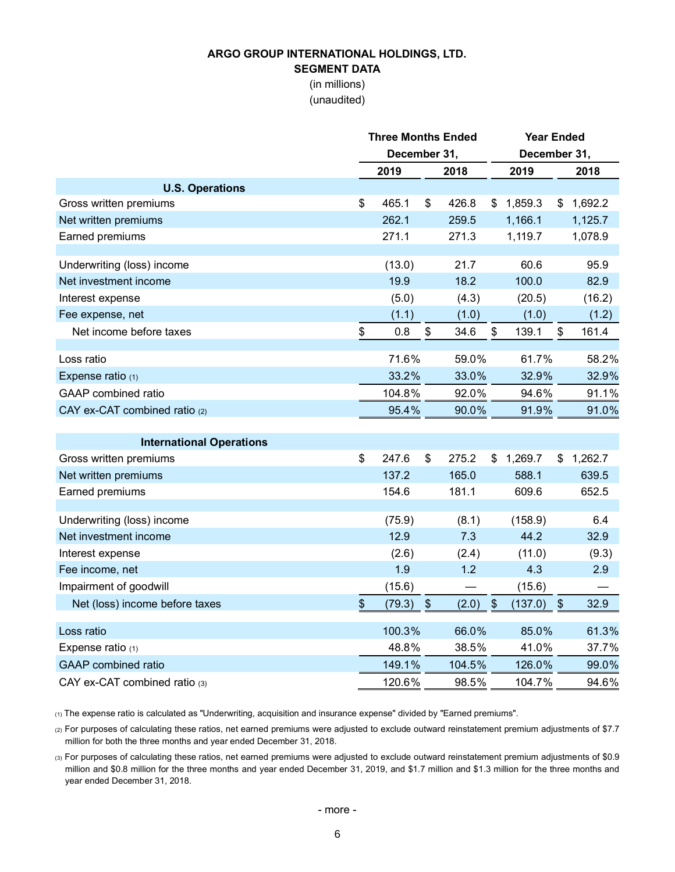# **ARGO GROUP INTERNATIONAL HOLDINGS, LTD.**

# **SEGMENT DATA**

(in millions) (unaudited)

|                                 | <b>Three Months Ended</b> |              |               |        |                   | <b>Year Ended</b> |               |         |  |
|---------------------------------|---------------------------|--------------|---------------|--------|-------------------|-------------------|---------------|---------|--|
|                                 |                           | December 31, |               |        |                   | December 31,      |               |         |  |
|                                 |                           | 2019         |               | 2018   |                   | 2019              |               | 2018    |  |
| <b>U.S. Operations</b>          |                           |              |               |        |                   |                   |               |         |  |
| Gross written premiums          | \$                        | 465.1        | \$            | 426.8  | \$                | 1,859.3           | $\frac{1}{2}$ | 1,692.2 |  |
| Net written premiums            |                           | 262.1        |               | 259.5  |                   | 1,166.1           |               | 1,125.7 |  |
| Earned premiums                 |                           | 271.1        |               | 271.3  |                   | 1,119.7           |               | 1,078.9 |  |
|                                 |                           |              |               |        |                   |                   |               |         |  |
| Underwriting (loss) income      |                           | (13.0)       |               | 21.7   |                   | 60.6              |               | 95.9    |  |
| Net investment income           |                           | 19.9         |               | 18.2   |                   | 100.0             |               | 82.9    |  |
| Interest expense                |                           | (5.0)        |               | (4.3)  |                   | (20.5)            |               | (16.2)  |  |
| Fee expense, net                |                           | (1.1)        |               | (1.0)  |                   | (1.0)             |               | (1.2)   |  |
| Net income before taxes         | \$                        | 0.8          | \$            | 34.6   | \$                | 139.1             | \$            | 161.4   |  |
| Loss ratio                      |                           | 71.6%        |               | 59.0%  |                   | 61.7%             |               | 58.2%   |  |
| Expense ratio $(1)$             |                           | 33.2%        |               | 33.0%  |                   | 32.9%             |               | 32.9%   |  |
| <b>GAAP</b> combined ratio      |                           | 104.8%       |               | 92.0%  |                   | 94.6%             |               | 91.1%   |  |
| CAY ex-CAT combined ratio (2)   |                           | 95.4%        |               | 90.0%  |                   | 91.9%             |               | 91.0%   |  |
|                                 |                           |              |               |        |                   |                   |               |         |  |
| <b>International Operations</b> |                           |              |               |        |                   |                   |               |         |  |
| Gross written premiums          | \$                        | 247.6        | \$            | 275.2  |                   | \$1,269.7         | \$            | 1,262.7 |  |
| Net written premiums            |                           | 137.2        |               | 165.0  |                   | 588.1             |               | 639.5   |  |
| Earned premiums                 |                           | 154.6        |               | 181.1  |                   | 609.6             |               | 652.5   |  |
|                                 |                           |              |               |        |                   |                   |               |         |  |
| Underwriting (loss) income      |                           | (75.9)       |               | (8.1)  |                   | (158.9)           |               | 6.4     |  |
| Net investment income           |                           | 12.9         |               | 7.3    |                   | 44.2              |               | 32.9    |  |
| Interest expense                |                           | (2.6)        |               | (2.4)  |                   | (11.0)            |               | (9.3)   |  |
| Fee income, net                 |                           | 1.9          |               | 1.2    |                   | 4.3               |               | 2.9     |  |
| Impairment of goodwill          |                           | (15.6)       |               |        |                   | (15.6)            |               |         |  |
| Net (loss) income before taxes  | \$                        | (79.3)       | $\frac{1}{2}$ | (2.0)  | $\boldsymbol{\$}$ | (137.0)           | $\frac{1}{2}$ | 32.9    |  |
| Loss ratio                      |                           | 100.3%       |               | 66.0%  |                   | 85.0%             |               | 61.3%   |  |
| Expense ratio (1)               |                           | 48.8%        |               | 38.5%  |                   | 41.0%             |               | 37.7%   |  |
| <b>GAAP</b> combined ratio      |                           | 149.1%       |               | 104.5% |                   | 126.0%            |               | 99.0%   |  |
| CAY ex-CAT combined ratio (3)   |                           | 120.6%       |               | 98.5%  |                   | 104.7%            |               | 94.6%   |  |

(1) The expense ratio is calculated as "Underwriting, acquisition and insurance expense" divided by "Earned premiums".

(2) For purposes of calculating these ratios, net earned premiums were adjusted to exclude outward reinstatement premium adjustments of \$7.7 million for both the three months and year ended December 31, 2018.

(3) For purposes of calculating these ratios, net earned premiums were adjusted to exclude outward reinstatement premium adjustments of \$0.9 million and \$0.8 million for the three months and year ended December 31, 2019, and \$1.7 million and \$1.3 million for the three months and year ended December 31, 2018.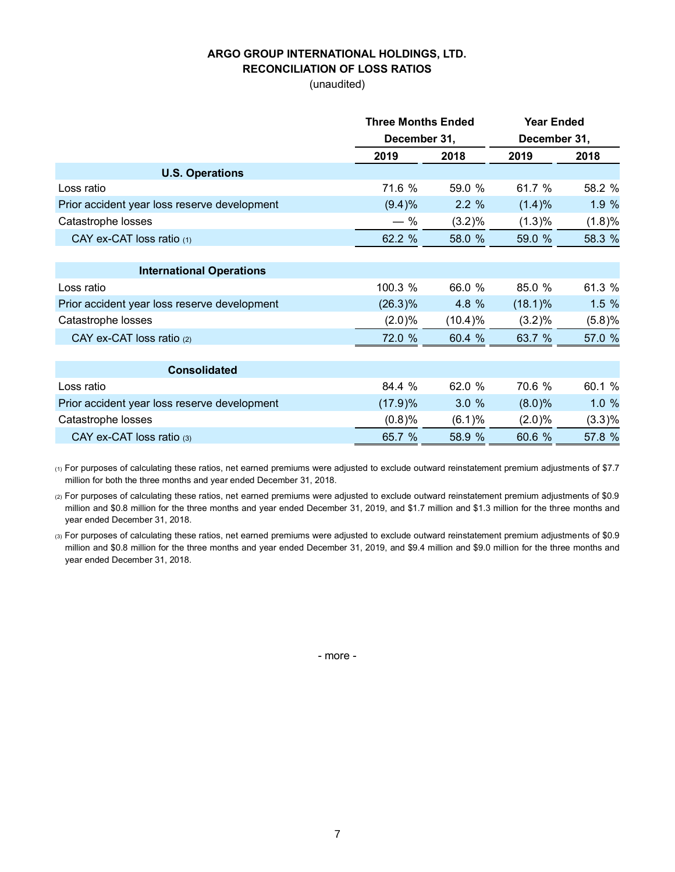#### **ARGO GROUP INTERNATIONAL HOLDINGS, LTD. RECONCILIATION OF LOSS RATIOS**

(unaudited)

|                                              | <b>Three Months Ended</b> |         | <b>Year Ended</b> |        |  |
|----------------------------------------------|---------------------------|---------|-------------------|--------|--|
|                                              | December 31,              |         | December 31,      |        |  |
|                                              | 2019                      | 2018    | 2019              | 2018   |  |
| <b>U.S. Operations</b>                       |                           |         |                   |        |  |
| Loss ratio                                   | 71.6 %                    | 59.0 %  | 61.7 %            | 58.2 % |  |
| Prior accident year loss reserve development | (9.4)%                    | 2.2%    | (1.4)%            | 1.9 %  |  |
| Catastrophe losses                           | $-$ %                     | (3.2)%  | (1.3)%            | (1.8)% |  |
| CAY ex-CAT loss ratio (1)                    | 62.2 %                    | 58.0 %  | 59.0 %            | 58.3 % |  |
|                                              |                           |         |                   |        |  |
| <b>International Operations</b>              |                           |         |                   |        |  |
| Loss ratio                                   | 100.3 %                   | 66.0 %  | 85.0 %            | 61.3 % |  |
| Prior accident year loss reserve development | (26.3)%                   | 4.8 %   | $(18.1)\%$        | 1.5%   |  |
| Catastrophe losses                           | (2.0)%                    | (10.4)% | (3.2)%            | (5.8)% |  |
| CAY ex-CAT loss ratio (2)                    | 72.0 %                    | 60.4 %  | 63.7 %            | 57.0 % |  |
|                                              |                           |         |                   |        |  |
| <b>Consolidated</b>                          |                           |         |                   |        |  |
| Loss ratio                                   | 84.4 %                    | 62.0 %  | 70.6 %            | 60.1 % |  |
| Prior accident year loss reserve development | (17.9)%                   | 3.0%    | $(8.0)\%$         | 1.0%   |  |
| Catastrophe losses                           | (0.8)%                    | (6.1)%  | (2.0)%            | (3.3)% |  |
| CAY ex-CAT loss ratio $(3)$                  | 65.7 %                    | 58.9 %  | 60.6 %            | 57.8 % |  |

(1) For purposes of calculating these ratios, net earned premiums were adjusted to exclude outward reinstatement premium adjustments of \$7.7 million for both the three months and year ended December 31, 2018.

(2) For purposes of calculating these ratios, net earned premiums were adjusted to exclude outward reinstatement premium adjustments of \$0.9 million and \$0.8 million for the three months and year ended December 31, 2019, and \$1.7 million and \$1.3 million for the three months and year ended December 31, 2018.

(3) For purposes of calculating these ratios, net earned premiums were adjusted to exclude outward reinstatement premium adjustments of \$0.9 million and \$0.8 million for the three months and year ended December 31, 2019, and \$9.4 million and \$9.0 million for the three months and year ended December 31, 2018.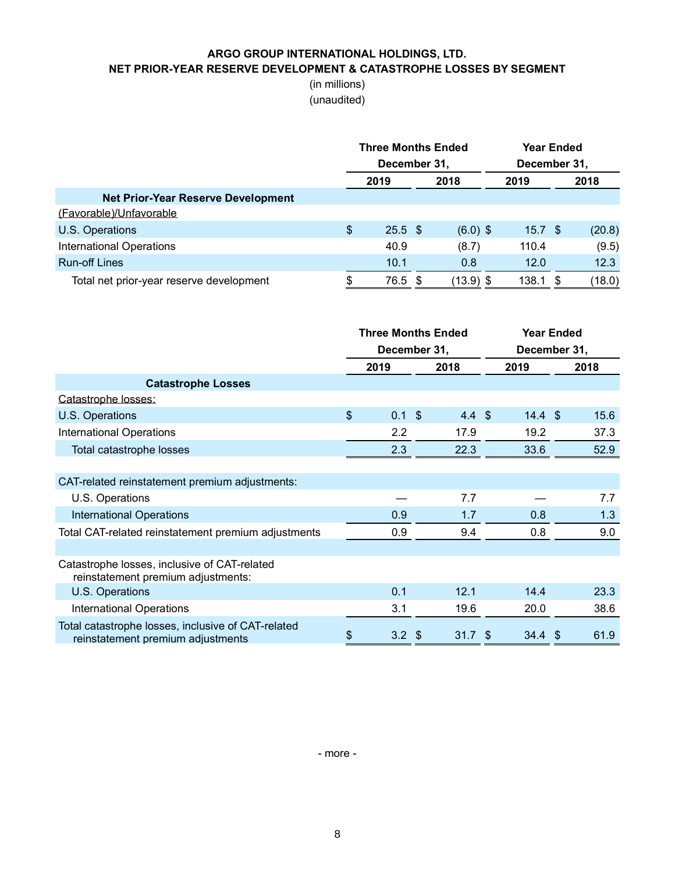### **ARGO GROUP INTERNATIONAL HOLDINGS, LTD. NET PRIOR-YEAR RESERVE DEVELOPMENT & CATASTROPHE LOSSES BY SEGMENT**

### (in millions) (unaudited)

|                                           | <b>Three Months Ended</b><br>December 31, |     |             | Year Ended<br>December 31, |  |        |
|-------------------------------------------|-------------------------------------------|-----|-------------|----------------------------|--|--------|
|                                           | 2019<br>2018                              |     |             |                            |  | 2018   |
| <b>Net Prior-Year Reserve Development</b> |                                           |     |             |                            |  |        |
| (Favorable)/Unfavorable                   |                                           |     |             |                            |  |        |
| U.S. Operations                           | \$<br>$25.5$ \$                           |     | $(6.0)$ \$  | 15.7 <sup>°</sup>          |  | (20.8) |
| <b>International Operations</b>           | 40.9                                      |     | (8.7)       | 110.4                      |  | (9.5)  |
| <b>Run-off Lines</b>                      | 10.1                                      |     | 0.8         | 12.0                       |  | 12.3   |
| Total net prior-year reserve development  | 76.5                                      | -\$ | $(13.9)$ \$ | 138.1                      |  | (18.0) |

|                                                                                         | <b>Three Months Ended</b><br>December 31, |                   | <b>Year Ended</b><br>December 31, |      |
|-----------------------------------------------------------------------------------------|-------------------------------------------|-------------------|-----------------------------------|------|
|                                                                                         | 2019                                      | 2018              | 2019                              | 2018 |
| <b>Catastrophe Losses</b>                                                               |                                           |                   |                                   |      |
| Catastrophe losses:                                                                     |                                           |                   |                                   |      |
| U.S. Operations                                                                         | \$<br>$0.1$ \$                            | $4.4 \text{ } $$  | $14.4 \text{ } $$                 | 15.6 |
| <b>International Operations</b>                                                         | 2.2                                       | 17.9              | 19.2                              | 37.3 |
| Total catastrophe losses                                                                | 2.3                                       | 22.3              | 33.6                              | 52.9 |
|                                                                                         |                                           |                   |                                   |      |
| CAT-related reinstatement premium adjustments:                                          |                                           |                   |                                   |      |
| U.S. Operations                                                                         |                                           | 7.7               |                                   | 7.7  |
| <b>International Operations</b>                                                         | 0.9                                       | 1.7               | 0.8                               | 1.3  |
| Total CAT-related reinstatement premium adjustments                                     | 0.9                                       | 9.4               | 0.8                               | 9.0  |
|                                                                                         |                                           |                   |                                   |      |
| Catastrophe losses, inclusive of CAT-related<br>reinstatement premium adjustments:      |                                           |                   |                                   |      |
| U.S. Operations                                                                         | 0.1                                       | 12.1              | 14.4                              | 23.3 |
| <b>International Operations</b>                                                         | 3.1                                       | 19.6              | 20.0                              | 38.6 |
| Total catastrophe losses, inclusive of CAT-related<br>reinstatement premium adjustments | \$<br>$3.2 \text{ } $$                    | 31.7 <sup>5</sup> | $34.4 \text{ } $$                 | 61.9 |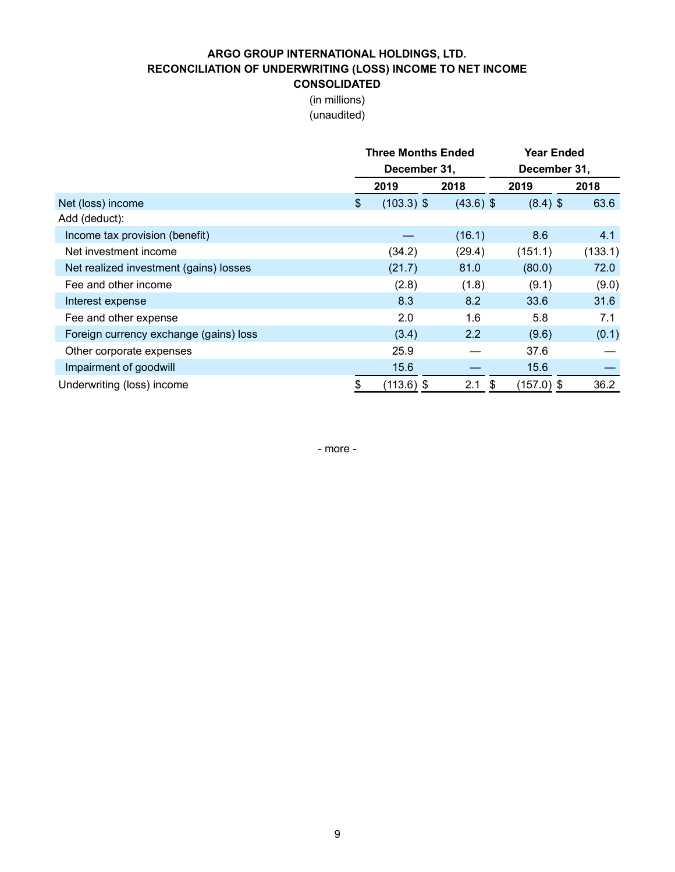# **ARGO GROUP INTERNATIONAL HOLDINGS, LTD. RECONCILIATION OF UNDERWRITING (LOSS) INCOME TO NET INCOME**

**CONSOLIDATED** (in millions)

(unaudited)

|                                        |               | <b>Three Months Ended</b> |             | Year Ended   |         |  |  |  |
|----------------------------------------|---------------|---------------------------|-------------|--------------|---------|--|--|--|
|                                        |               | December 31,              |             | December 31, |         |  |  |  |
|                                        |               | 2019                      | 2018        | 2019         | 2018    |  |  |  |
| Net (loss) income                      | $\frac{1}{2}$ | $(103.3)$ \$              | $(43.6)$ \$ | $(8.4)$ \$   | 63.6    |  |  |  |
| Add (deduct):                          |               |                           |             |              |         |  |  |  |
| Income tax provision (benefit)         |               |                           | (16.1)      | 8.6          | 4.1     |  |  |  |
| Net investment income                  |               | (34.2)                    | (29.4)      | (151.1)      | (133.1) |  |  |  |
| Net realized investment (gains) losses |               | (21.7)                    | 81.0        | (80.0)       | 72.0    |  |  |  |
| Fee and other income                   |               | (2.8)                     | (1.8)       | (9.1)        | (9.0)   |  |  |  |
| Interest expense                       |               | 8.3                       | 8.2         | 33.6         | 31.6    |  |  |  |
| Fee and other expense                  |               | 2.0                       | 1.6         | 5.8          | 7.1     |  |  |  |
| Foreign currency exchange (gains) loss |               | (3.4)                     | 2.2         | (9.6)        | (0.1)   |  |  |  |
| Other corporate expenses               |               | 25.9                      |             | 37.6         |         |  |  |  |
| Impairment of goodwill                 |               | 15.6                      |             | 15.6         |         |  |  |  |
| Underwriting (loss) income             | \$            | $(113.6)$ \$              | 2.1<br>\$   | $(157.0)$ \$ | 36.2    |  |  |  |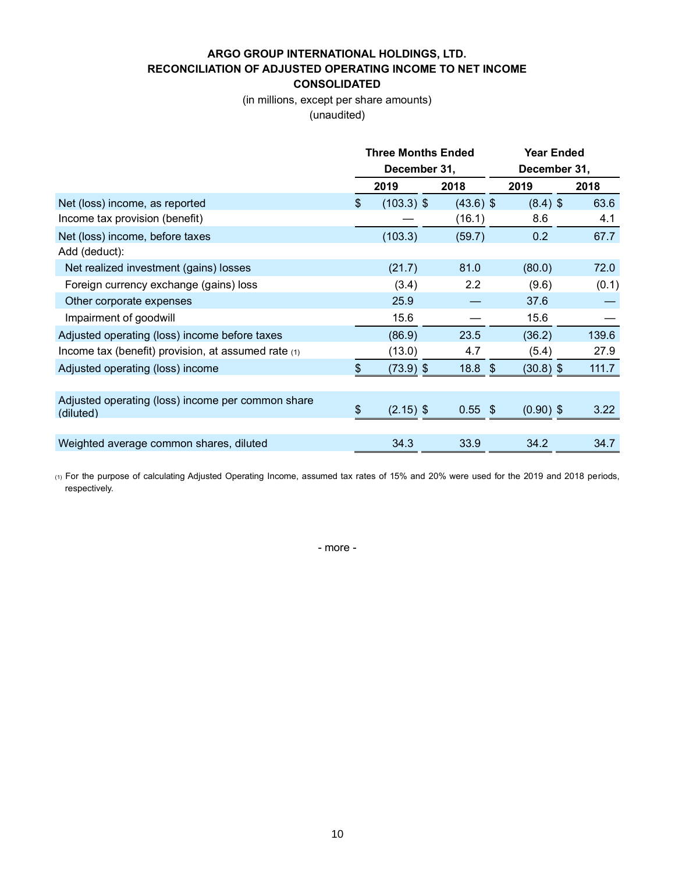# **ARGO GROUP INTERNATIONAL HOLDINGS, LTD. RECONCILIATION OF ADJUSTED OPERATING INCOME TO NET INCOME**

**CONSOLIDATED**

(in millions, except per share amounts)

(unaudited)

|                                                                |                | <b>Three Months Ended</b> |             | <b>Year Ended</b> |       |  |  |
|----------------------------------------------------------------|----------------|---------------------------|-------------|-------------------|-------|--|--|
|                                                                |                | December 31,              |             | December 31,      |       |  |  |
|                                                                |                | 2019                      | 2018        | 2019              | 2018  |  |  |
| Net (loss) income, as reported                                 | $\mathfrak{S}$ | $(103.3)$ \$              | $(43.6)$ \$ | $(8.4)$ \$        | 63.6  |  |  |
| Income tax provision (benefit)                                 |                |                           | (16.1)      | 8.6               | 4.1   |  |  |
| Net (loss) income, before taxes                                |                | (103.3)                   | (59.7)      | 0.2               | 67.7  |  |  |
| Add (deduct):                                                  |                |                           |             |                   |       |  |  |
| Net realized investment (gains) losses                         |                | (21.7)                    | 81.0        | (80.0)            | 72.0  |  |  |
| Foreign currency exchange (gains) loss                         |                | (3.4)                     | 2.2         | (9.6)             | (0.1) |  |  |
| Other corporate expenses                                       |                | 25.9                      |             | 37.6              |       |  |  |
| Impairment of goodwill                                         |                | 15.6                      |             | 15.6              |       |  |  |
| Adjusted operating (loss) income before taxes                  |                | (86.9)                    | 23.5        | (36.2)            | 139.6 |  |  |
| Income tax (benefit) provision, at assumed rate (1)            |                | (13.0)                    | 4.7         | (5.4)             | 27.9  |  |  |
| Adjusted operating (loss) income                               | \$             | $(73.9)$ \$               | 18.8<br>-\$ | $(30.8)$ \$       | 111.7 |  |  |
|                                                                |                |                           |             |                   |       |  |  |
| Adjusted operating (loss) income per common share<br>(diluted) | \$             | $(2.15)$ \$               | $0.55$ \$   | $(0.90)$ \$       | 3.22  |  |  |
|                                                                |                |                           |             |                   |       |  |  |
| Weighted average common shares, diluted                        |                | 34.3                      | 33.9        | 34.2              | 34.7  |  |  |

(1) For the purpose of calculating Adjusted Operating Income, assumed tax rates of 15% and 20% were used for the 2019 and 2018 periods, respectively.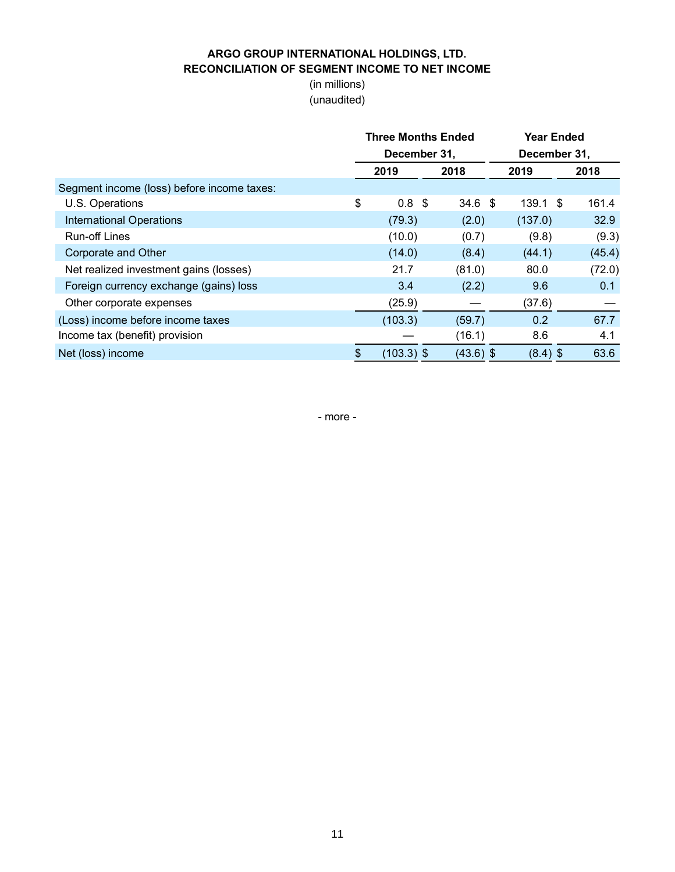### **ARGO GROUP INTERNATIONAL HOLDINGS, LTD. RECONCILIATION OF SEGMENT INCOME TO NET INCOME**

(in millions) (unaudited)

|                                            | <b>Three Months Ended</b><br>December 31, |                  |  |                   |      | <b>Year Ended</b><br>December 31, |        |
|--------------------------------------------|-------------------------------------------|------------------|--|-------------------|------|-----------------------------------|--------|
|                                            | 2018<br>2019                              |                  |  | 2019              | 2018 |                                   |        |
| Segment income (loss) before income taxes: |                                           |                  |  |                   |      |                                   |        |
| U.S. Operations                            | \$                                        | 0.8 <sup>5</sup> |  | 34.6 <sup>°</sup> |      | $139.1$ \$                        | 161.4  |
| <b>International Operations</b>            |                                           | (79.3)           |  | (2.0)             |      | (137.0)                           | 32.9   |
| <b>Run-off Lines</b>                       |                                           | (10.0)           |  | (0.7)             |      | (9.8)                             | (9.3)  |
| Corporate and Other                        |                                           | (14.0)           |  | (8.4)             |      | (44.1)                            | (45.4) |
| Net realized investment gains (losses)     |                                           | 21.7             |  | (81.0)            |      | 80.0                              | (72.0) |
| Foreign currency exchange (gains) loss     |                                           | 3.4              |  | (2.2)             |      | 9.6                               | 0.1    |
| Other corporate expenses                   |                                           | (25.9)           |  |                   |      | (37.6)                            |        |
| (Loss) income before income taxes          |                                           | (103.3)          |  | (59.7)            |      | 0.2                               | 67.7   |
| Income tax (benefit) provision             |                                           |                  |  | (16.1)            |      | 8.6                               | 4.1    |
| Net (loss) income                          | \$                                        | $(103.3)$ \$     |  | $(43.6)$ \$       |      | $(8.4)$ \$                        | 63.6   |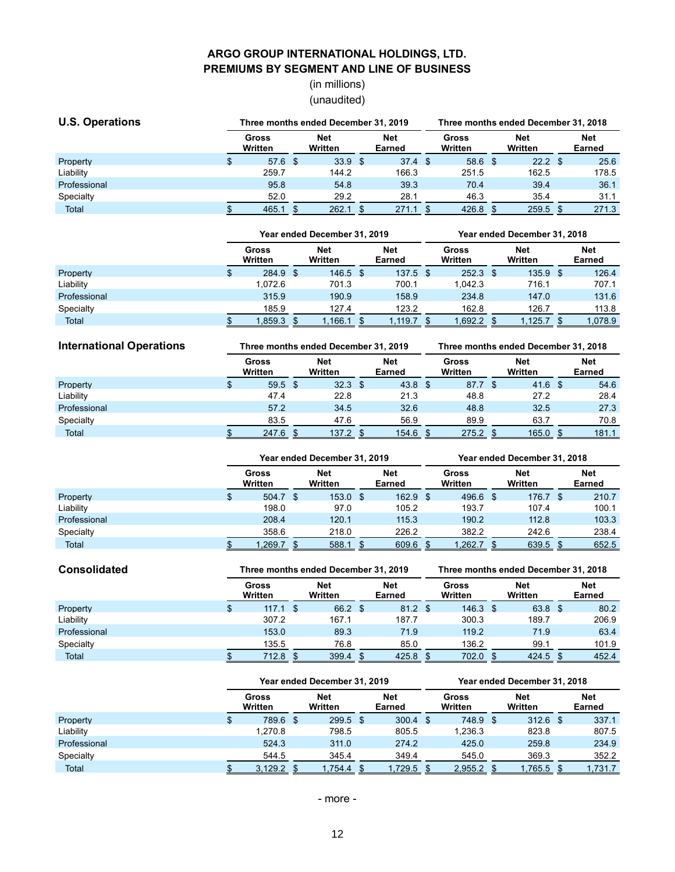### **ARGO GROUP INTERNATIONAL HOLDINGS, LTD. PREMIUMS BY SEGMENT AND LINE OF BUSINESS**

# (in millions) (unaudited)

| <b>U.S. Operations</b> |  |                   |  | Three months ended December 31, 2019 |  |                      |    | Three months ended December 31, 2018 |  |                       |  |                      |  |
|------------------------|--|-------------------|--|--------------------------------------|--|----------------------|----|--------------------------------------|--|-----------------------|--|----------------------|--|
|                        |  | Gross<br>Written  |  | Net<br>Written                       |  | <b>Net</b><br>Earned |    | Gross<br>Written                     |  | <b>Net</b><br>Written |  | <b>Net</b><br>Earned |  |
| Property               |  | 57.6 <sup>°</sup> |  | 33.9 <sup>5</sup>                    |  | 37.4                 | \$ | 58.6 <sup>°</sup>                    |  | $22.2$ \$             |  | 25.6                 |  |
| Liability              |  | 259.7             |  | 144.2                                |  | 166.3                |    | 251.5                                |  | 162.5                 |  | 178.5                |  |
| Professional           |  | 95.8              |  | 54.8                                 |  | 39.3                 |    | 70.4                                 |  | 39.4                  |  | 36.1                 |  |
| Specialty              |  | 52.0              |  | 29.2                                 |  | 28.1                 |    | 46.3                                 |  | 35.4                  |  | 31.1                 |  |
| Total                  |  | 465.1             |  | 262.1                                |  | 271.1                |    | 426.8                                |  | 259.5                 |  | 271.3                |  |

|              | Year ended December 31, 2019 |  |                |  |               |  | Year ended December 31. 2018 |  |                       |  |                             |  |
|--------------|------------------------------|--|----------------|--|---------------|--|------------------------------|--|-----------------------|--|-----------------------------|--|
|              | Gross<br>Written             |  | Net<br>Written |  | Net<br>Earned |  | Gross<br>Written             |  | <b>Net</b><br>Written |  | <b>Net</b><br><b>Earned</b> |  |
| Property     | 284.9 \$                     |  | $146.5$ \$     |  | $137.5$ \$    |  | $252.3$ \$                   |  | $135.9$ \$            |  | 126.4                       |  |
| Liability    | 1.072.6                      |  | 701.3          |  | 700.1         |  | 1.042.3                      |  | 716.1                 |  | 707.1                       |  |
| Professional | 315.9                        |  | 190.9          |  | 158.9         |  | 234.8                        |  | 147.0                 |  | 131.6                       |  |
| Specialty    | 185.9                        |  | 127.4          |  | 123.2         |  | 162.8                        |  | 126.7                 |  | 113.8                       |  |
| Total        | 1,859.3                      |  | ,166.1         |  | .119.7        |  | 1,692.2                      |  | 1,125.7               |  | 1,078.9                     |  |

| <b>International Operations</b> |                  |  | Three months ended December 31, 2019 |  |                   |  | Three months ended December 31, 2018 |  |                       |  |                      |  |
|---------------------------------|------------------|--|--------------------------------------|--|-------------------|--|--------------------------------------|--|-----------------------|--|----------------------|--|
|                                 | Gross<br>Written |  | Net<br>Written                       |  | Net<br>Earned     |  | Gross<br>Written                     |  | <b>Net</b><br>Written |  | <b>Net</b><br>Earned |  |
| Property                        | $59.5$ \$        |  | 32.3 <sup>5</sup>                    |  | 43.8 <sup>5</sup> |  | 87.7 \$                              |  | $41.6$ \$             |  | 54.6                 |  |
| Liability                       | 47.4             |  | 22.8                                 |  | 21.3              |  | 48.8                                 |  | 27.2                  |  | 28.4                 |  |
| Professional                    | 57.2             |  | 34.5                                 |  | 32.6              |  | 48.8                                 |  | 32.5                  |  | 27.3                 |  |
| Specialty                       | 83.5             |  | 47.6                                 |  | 56.9              |  | 89.9                                 |  | 63.7                  |  | 70.8                 |  |
| Total                           | 247.6            |  | 137.2                                |  | 154.6             |  | 275.2                                |  | 165.0                 |  | 181.1                |  |

|              |                  | Year ended December 31, 2019 |                       | Year ended December 31, 2018 |                      |    |                  |  |                       |  |                      |
|--------------|------------------|------------------------------|-----------------------|------------------------------|----------------------|----|------------------|--|-----------------------|--|----------------------|
|              | Gross<br>Written |                              | <b>Net</b><br>Written |                              | <b>Net</b><br>Earned |    | Gross<br>Written |  | <b>Net</b><br>Written |  | <b>Net</b><br>Earned |
| Property     | 504.7            | - \$                         | $153.0$ \$            |                              | 162.9                | -S | $496.6$ \$       |  | 176.7 \$              |  | 210.7                |
| Liability    | 198.0            |                              | 97.0                  |                              | 105.2                |    | 193.7            |  | 107.4                 |  | 100.1                |
| Professional | 208.4            |                              | 120.1                 |                              | 115.3                |    | 190.2            |  | 112.8                 |  | 103.3                |
| Specialty    | 358.6            |                              | 218.0                 |                              | 226.2                |    | 382.2            |  | 242.6                 |  | 238.4                |
| Total        | .269.7           |                              | 588.1                 |                              | 609.6                |    | ,262.7           |  | 639.5                 |  | 652.5                |

| <b>Consolidated</b> |                  |      | Three months ended December 31, 2019 |  |               | Three months ended December 31, 2018 |                  |  |                       |  |                      |  |
|---------------------|------------------|------|--------------------------------------|--|---------------|--------------------------------------|------------------|--|-----------------------|--|----------------------|--|
|                     | Gross<br>Written |      | Net<br>Written                       |  | Net<br>Earned |                                      | Gross<br>Written |  | <b>Net</b><br>Written |  | <b>Net</b><br>Earned |  |
| Property            | 117.1            | - \$ | 66.2 \$                              |  | 81.2          | <b>S</b>                             | $146.3$ \$       |  | 63.8 \$               |  | 80.2                 |  |
| Liability           | 307.2            |      | 167.1                                |  | 187.7         |                                      | 300.3            |  | 189.7                 |  | 206.9                |  |
| Professional        | 153.0            |      | 89.3                                 |  | 71.9          |                                      | 119.2            |  | 71.9                  |  | 63.4                 |  |
| Specialty           | 135.5            |      | 76.8                                 |  | 85.0          |                                      | 136.2            |  | 99.1                  |  | 101.9                |  |
| Total               | 712.8            |      | 399.4                                |  | 425.8         |                                      | 702.0            |  | 424.5                 |  | 452.4                |  |

|              |   |                  | Year ended December 31, 2019 |                | Year ended December 31, 2018 |                      |    |                  |  |                       |  |                      |  |
|--------------|---|------------------|------------------------------|----------------|------------------------------|----------------------|----|------------------|--|-----------------------|--|----------------------|--|
|              |   | Gross<br>Written |                              | Net<br>Written |                              | <b>Net</b><br>Earned |    | Gross<br>Written |  | <b>Net</b><br>Written |  | <b>Net</b><br>Earned |  |
| Property     | S | 789.6 \$         |                              | $299.5$ \$     |                              | 300.4                | \$ | 748.9 \$         |  | $312.6$ \$            |  | 337.1                |  |
| Liability    |   | 1.270.8          |                              | 798.5          |                              | 805.5                |    | 1.236.3          |  | 823.8                 |  | 807.5                |  |
| Professional |   | 524.3            |                              | 311.0          |                              | 274.2                |    | 425.0            |  | 259.8                 |  | 234.9                |  |
| Specialty    |   | 544.5            |                              | 345.4          |                              | 349.4                |    | 545.0            |  | 369.3                 |  | 352.2                |  |
| Total        |   | 3,129.2          |                              | .754.4         |                              | 1,729.5              |    | 2,955.2          |  | 1,765.5               |  | 1,731.7              |  |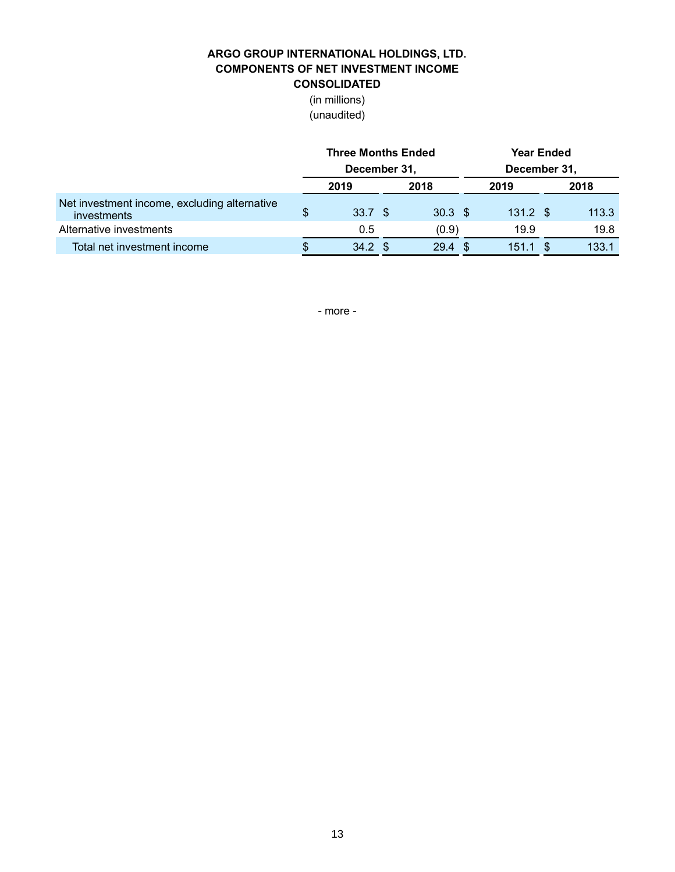### **ARGO GROUP INTERNATIONAL HOLDINGS, LTD. COMPONENTS OF NET INVESTMENT INCOME CONSOLIDATED**

(in millions)

(unaudited)

|                                                             | <b>Three Months Ended</b> |  |                   | <b>Year Ended</b> |            |  |       |  |  |  |
|-------------------------------------------------------------|---------------------------|--|-------------------|-------------------|------------|--|-------|--|--|--|
|                                                             | December 31,              |  | December 31,      |                   |            |  |       |  |  |  |
|                                                             | 2019                      |  | 2018              |                   | 2019       |  | 2018  |  |  |  |
| Net investment income, excluding alternative<br>investments | \$<br>33.7 \$             |  | $30.3 \text{ } $$ |                   | $131.2$ \$ |  | 113.3 |  |  |  |
| Alternative investments                                     | 0.5                       |  | (0.9)             |                   | 19.9       |  | 19.8  |  |  |  |
| Total net investment income                                 | $34.2 \text{ } $$         |  | 29.4              |                   | 151.1      |  | 133.1 |  |  |  |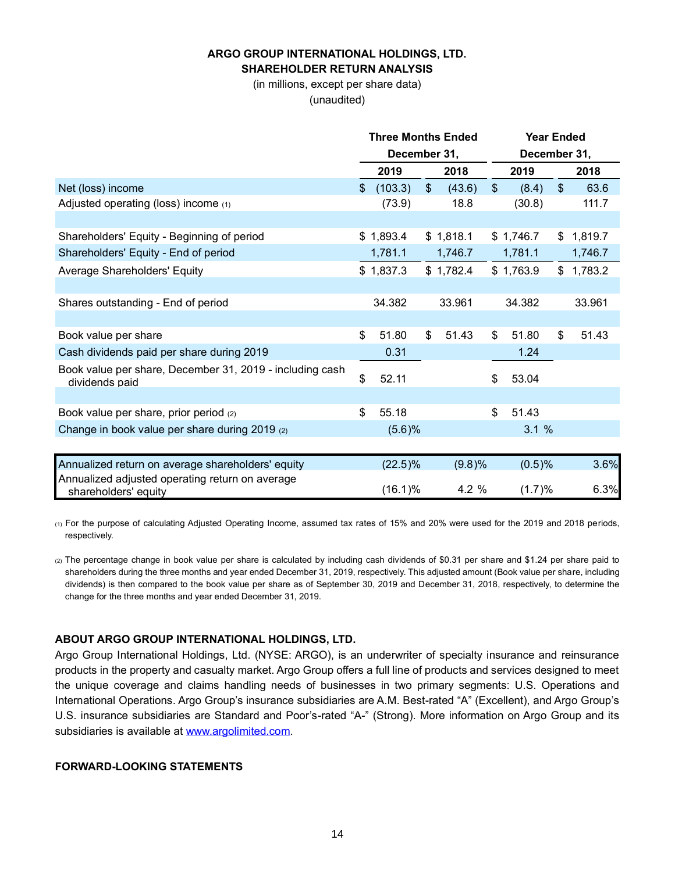### **ARGO GROUP INTERNATIONAL HOLDINGS, LTD. SHAREHOLDER RETURN ANALYSIS**

(in millions, except per share data) (unaudited)

|                                                                            |     | <b>Three Months Ended</b> |                |           |                         | <b>Year Ended</b> |    |           |
|----------------------------------------------------------------------------|-----|---------------------------|----------------|-----------|-------------------------|-------------------|----|-----------|
|                                                                            |     | December 31,              |                |           |                         | December 31,      |    |           |
|                                                                            |     | 2019                      |                | 2018      |                         | 2019              |    | 2018      |
| Net (loss) income                                                          | \$  | (103.3)                   | $\mathfrak{S}$ | (43.6)    | $\sqrt[6]{\frac{1}{2}}$ | (8.4)             | \$ | 63.6      |
| Adjusted operating (loss) income (1)                                       |     | (73.9)                    |                | 18.8      |                         | (30.8)            |    | 111.7     |
|                                                                            |     |                           |                |           |                         |                   |    |           |
| Shareholders' Equity - Beginning of period                                 |     | \$1,893.4                 |                | \$1,818.1 |                         | \$1,746.7         |    | \$1,819.7 |
| Shareholders' Equity - End of period                                       |     | 1,781.1                   |                | 1,746.7   |                         | 1,781.1           |    | 1,746.7   |
| Average Shareholders' Equity                                               |     | \$1,837.3                 |                | \$1,782.4 |                         | \$1,763.9         |    | \$1,783.2 |
|                                                                            |     |                           |                |           |                         |                   |    |           |
| Shares outstanding - End of period                                         |     | 34.382                    |                | 33.961    |                         | 34.382            |    | 33.961    |
|                                                                            |     |                           |                |           |                         |                   |    |           |
| Book value per share                                                       | \$. | 51.80                     | \$             | 51.43     | \$                      | 51.80             | \$ | 51.43     |
| Cash dividends paid per share during 2019                                  |     | 0.31                      |                |           |                         | 1.24              |    |           |
| Book value per share, December 31, 2019 - including cash<br>dividends paid | \$  | 52.11                     |                |           | \$                      | 53.04             |    |           |
|                                                                            |     |                           |                |           |                         |                   |    |           |
| Book value per share, prior period (2)                                     | \$  | 55.18                     |                |           | \$                      | 51.43             |    |           |
| Change in book value per share during 2019 (2)                             |     | (5.6)%                    |                |           |                         | 3.1%              |    |           |
|                                                                            |     |                           |                |           |                         |                   |    |           |
| Annualized return on average shareholders' equity                          |     | $(22.5)\%$                |                | (9.8)%    |                         | (0.5)%            |    | 3.6%      |
| Annualized adjusted operating return on average<br>shareholders' equity    |     | (16.1)%                   |                | 4.2 %     |                         | (1.7)%            |    | 6.3%      |

(1) For the purpose of calculating Adjusted Operating Income, assumed tax rates of 15% and 20% were used for the 2019 and 2018 periods, respectively.

(2) The percentage change in book value per share is calculated by including cash dividends of \$0.31 per share and \$1.24 per share paid to shareholders during the three months and year ended December 31, 2019, respectively. This adjusted amount (Book value per share, including dividends) is then compared to the book value per share as of September 30, 2019 and December 31, 2018, respectively, to determine the change for the three months and year ended December 31, 2019.

#### **ABOUT ARGO GROUP INTERNATIONAL HOLDINGS, LTD.**

Argo Group International Holdings, Ltd. (NYSE: ARGO), is an underwriter of specialty insurance and reinsurance products in the property and casualty market. Argo Group offers a full line of products and services designed to meet the unique coverage and claims handling needs of businesses in two primary segments: U.S. Operations and International Operations. Argo Group's insurance subsidiaries are A.M. Best-rated "A" (Excellent), and Argo Group's U.S. insurance subsidiaries are Standard and Poor's-rated "A-" (Strong). More information on Argo Group and its subsidiaries is available at [www.argolimited.com](file:///C:/Users/mwebb/AppData/Local/Microsoft/Windows/INetCache/Content.Outlook/66TUU996/www.argolimited.com).

#### **FORWARD-LOOKING STATEMENTS**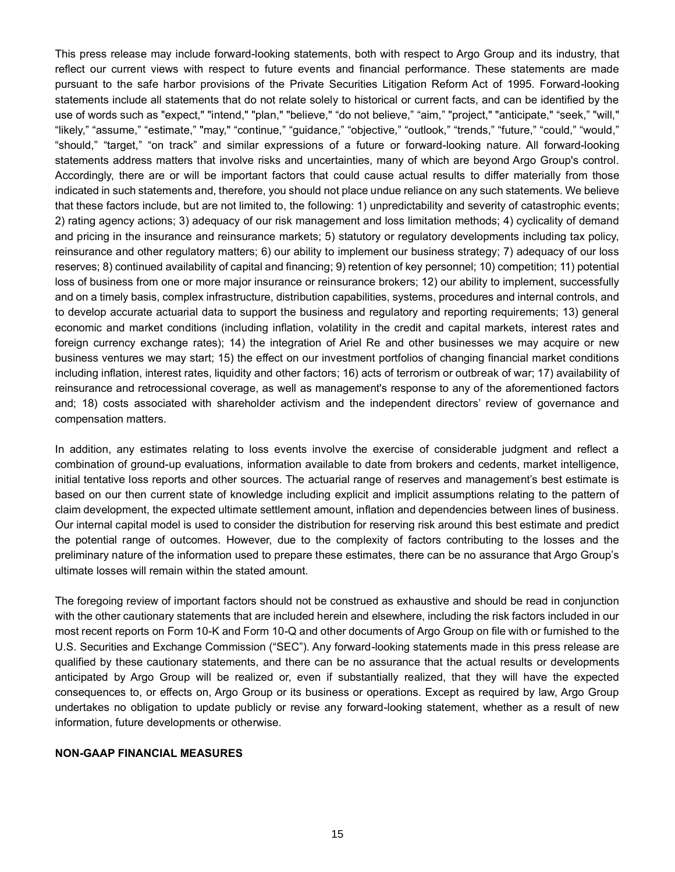This press release may include forward-looking statements, both with respect to Argo Group and its industry, that reflect our current views with respect to future events and financial performance. These statements are made pursuant to the safe harbor provisions of the Private Securities Litigation Reform Act of 1995. Forward-looking statements include all statements that do not relate solely to historical or current facts, and can be identified by the use of words such as "expect," "intend," "plan," "believe," "do not believe," "aim," "project," "anticipate," "seek," "will," "likely," "assume," "estimate," "may," "continue," "guidance," "objective," "outlook," "trends," "future," "could," "would," "should," "target," "on track" and similar expressions of a future or forward-looking nature. All forward-looking statements address matters that involve risks and uncertainties, many of which are beyond Argo Group's control. Accordingly, there are or will be important factors that could cause actual results to differ materially from those indicated in such statements and, therefore, you should not place undue reliance on any such statements. We believe that these factors include, but are not limited to, the following: 1) unpredictability and severity of catastrophic events; 2) rating agency actions; 3) adequacy of our risk management and loss limitation methods; 4) cyclicality of demand and pricing in the insurance and reinsurance markets; 5) statutory or regulatory developments including tax policy, reinsurance and other regulatory matters; 6) our ability to implement our business strategy; 7) adequacy of our loss reserves; 8) continued availability of capital and financing; 9) retention of key personnel; 10) competition; 11) potential loss of business from one or more major insurance or reinsurance brokers; 12) our ability to implement, successfully and on a timely basis, complex infrastructure, distribution capabilities, systems, procedures and internal controls, and to develop accurate actuarial data to support the business and regulatory and reporting requirements; 13) general economic and market conditions (including inflation, volatility in the credit and capital markets, interest rates and foreign currency exchange rates); 14) the integration of Ariel Re and other businesses we may acquire or new business ventures we may start; 15) the effect on our investment portfolios of changing financial market conditions including inflation, interest rates, liquidity and other factors; 16) acts of terrorism or outbreak of war; 17) availability of reinsurance and retrocessional coverage, as well as management's response to any of the aforementioned factors and; 18) costs associated with shareholder activism and the independent directors' review of governance and compensation matters.

In addition, any estimates relating to loss events involve the exercise of considerable judgment and reflect a combination of ground-up evaluations, information available to date from brokers and cedents, market intelligence, initial tentative loss reports and other sources. The actuarial range of reserves and management's best estimate is based on our then current state of knowledge including explicit and implicit assumptions relating to the pattern of claim development, the expected ultimate settlement amount, inflation and dependencies between lines of business. Our internal capital model is used to consider the distribution for reserving risk around this best estimate and predict the potential range of outcomes. However, due to the complexity of factors contributing to the losses and the preliminary nature of the information used to prepare these estimates, there can be no assurance that Argo Group's ultimate losses will remain within the stated amount.

The foregoing review of important factors should not be construed as exhaustive and should be read in conjunction with the other cautionary statements that are included herein and elsewhere, including the risk factors included in our most recent reports on Form 10-K and Form 10-Q and other documents of Argo Group on file with or furnished to the U.S. Securities and Exchange Commission ("SEC"). Any forward-looking statements made in this press release are qualified by these cautionary statements, and there can be no assurance that the actual results or developments anticipated by Argo Group will be realized or, even if substantially realized, that they will have the expected consequences to, or effects on, Argo Group or its business or operations. Except as required by law, Argo Group undertakes no obligation to update publicly or revise any forward-looking statement, whether as a result of new information, future developments or otherwise.

#### **NON-GAAP FINANCIAL MEASURES**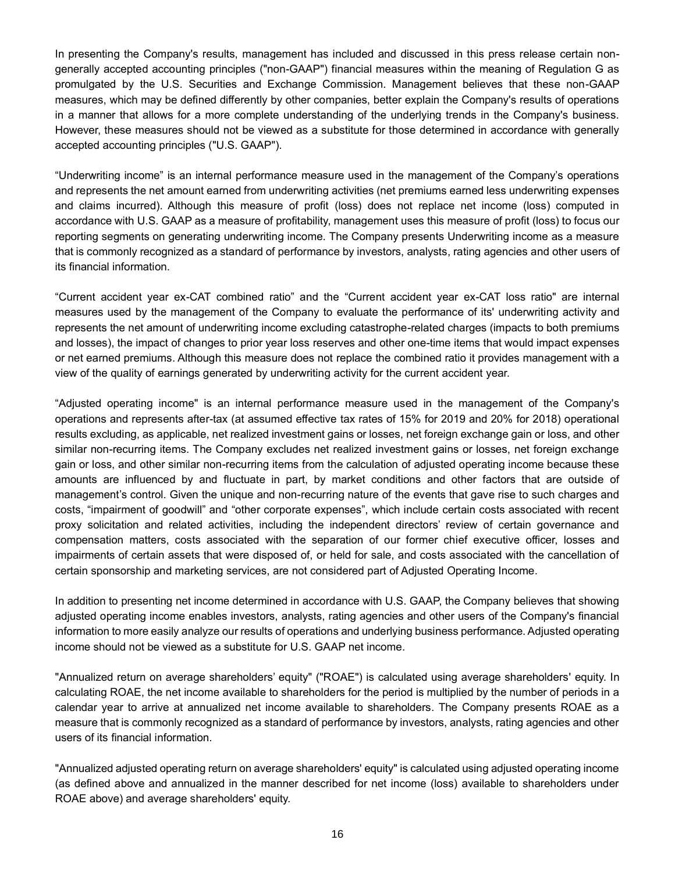In presenting the Company's results, management has included and discussed in this press release certain nongenerally accepted accounting principles ("non-GAAP") financial measures within the meaning of Regulation G as promulgated by the U.S. Securities and Exchange Commission. Management believes that these non-GAAP measures, which may be defined differently by other companies, better explain the Company's results of operations in a manner that allows for a more complete understanding of the underlying trends in the Company's business. However, these measures should not be viewed as a substitute for those determined in accordance with generally accepted accounting principles ("U.S. GAAP").

"Underwriting income" is an internal performance measure used in the management of the Company's operations and represents the net amount earned from underwriting activities (net premiums earned less underwriting expenses and claims incurred). Although this measure of profit (loss) does not replace net income (loss) computed in accordance with U.S. GAAP as a measure of profitability, management uses this measure of profit (loss) to focus our reporting segments on generating underwriting income. The Company presents Underwriting income as a measure that is commonly recognized as a standard of performance by investors, analysts, rating agencies and other users of its financial information.

"Current accident year ex-CAT combined ratio" and the "Current accident year ex-CAT loss ratio" are internal measures used by the management of the Company to evaluate the performance of its' underwriting activity and represents the net amount of underwriting income excluding catastrophe-related charges (impacts to both premiums and losses), the impact of changes to prior year loss reserves and other one-time items that would impact expenses or net earned premiums. Although this measure does not replace the combined ratio it provides management with a view of the quality of earnings generated by underwriting activity for the current accident year.

"Adjusted operating income" is an internal performance measure used in the management of the Company's operations and represents after-tax (at assumed effective tax rates of 15% for 2019 and 20% for 2018) operational results excluding, as applicable, net realized investment gains or losses, net foreign exchange gain or loss, and other similar non-recurring items. The Company excludes net realized investment gains or losses, net foreign exchange gain or loss, and other similar non-recurring items from the calculation of adjusted operating income because these amounts are influenced by and fluctuate in part, by market conditions and other factors that are outside of management's control. Given the unique and non-recurring nature of the events that gave rise to such charges and costs, "impairment of goodwill" and "other corporate expenses", which include certain costs associated with recent proxy solicitation and related activities, including the independent directors' review of certain governance and compensation matters, costs associated with the separation of our former chief executive officer, losses and impairments of certain assets that were disposed of, or held for sale, and costs associated with the cancellation of certain sponsorship and marketing services, are not considered part of Adjusted Operating Income.

In addition to presenting net income determined in accordance with U.S. GAAP, the Company believes that showing adjusted operating income enables investors, analysts, rating agencies and other users of the Company's financial information to more easily analyze our results of operations and underlying business performance. Adjusted operating income should not be viewed as a substitute for U.S. GAAP net income.

"Annualized return on average shareholders' equity" ("ROAE") is calculated using average shareholders' equity. In calculating ROAE, the net income available to shareholders for the period is multiplied by the number of periods in a calendar year to arrive at annualized net income available to shareholders. The Company presents ROAE as a measure that is commonly recognized as a standard of performance by investors, analysts, rating agencies and other users of its financial information.

"Annualized adjusted operating return on average shareholders' equity" is calculated using adjusted operating income (as defined above and annualized in the manner described for net income (loss) available to shareholders under ROAE above) and average shareholders' equity.